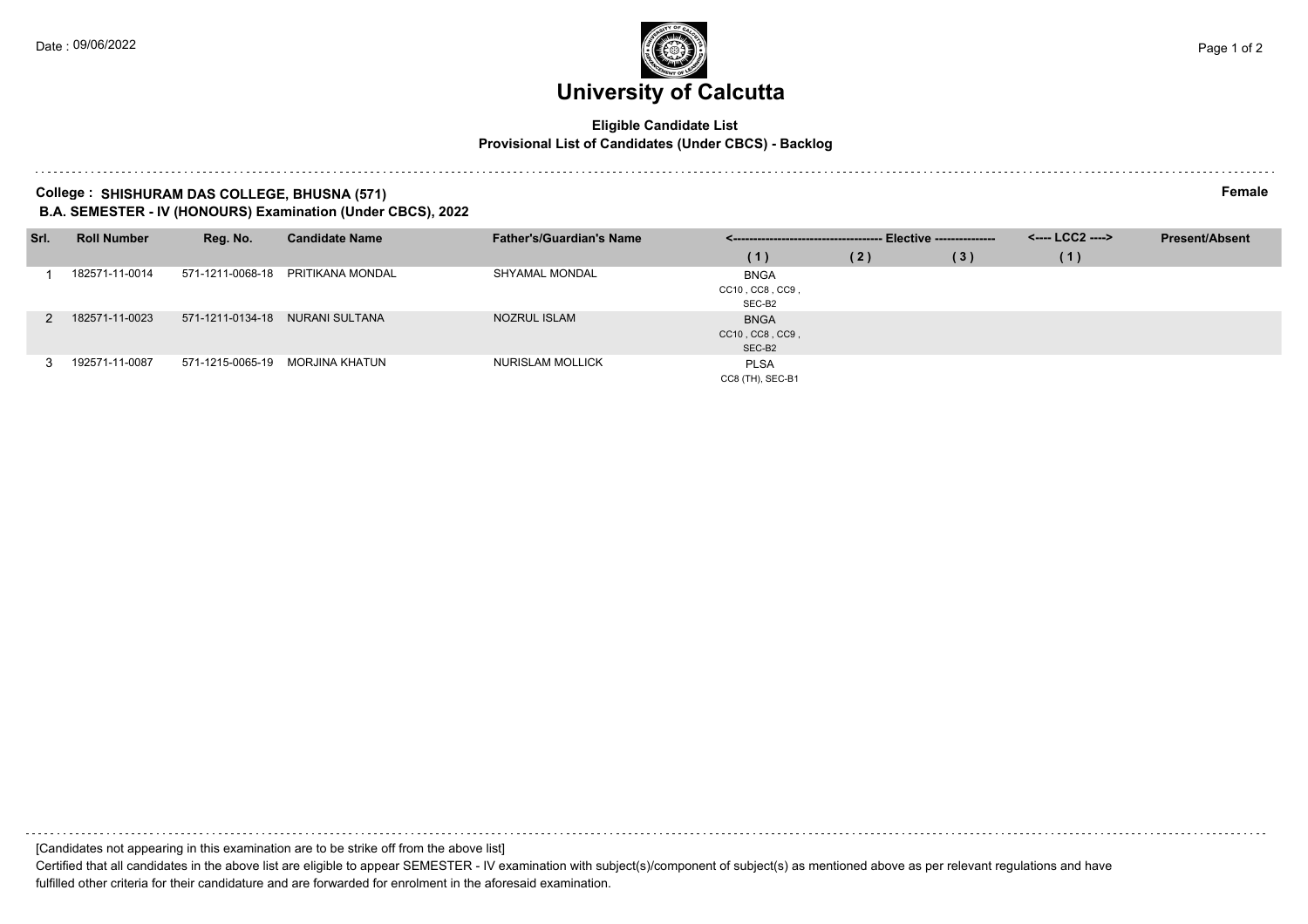# **University of Calcutta**

### **Eligible Candidate List Provisional List of Candidates (Under CBCS) - Backlog**

#### **College : SHISHURAM DAS COLLEGE, BHUSNA (571) Female B.A. SEMESTER - IV (HONOURS) Examination (Under CBCS), 2022**

| Srl. | <b>Roll Number</b> | Reg. No.         | <b>Candidate Name</b>             | <b>Father's/Guardian's Name</b> |                                          |     | <---- LCC2 ----> | <b>Present/Absent</b> |  |
|------|--------------------|------------------|-----------------------------------|---------------------------------|------------------------------------------|-----|------------------|-----------------------|--|
|      |                    |                  |                                   |                                 | (1)                                      | (2) | (3)              | (1)                   |  |
|      | 182571-11-0014     |                  | 571-1211-0068-18 PRITIKANA MONDAL | SHYAMAL MONDAL                  | <b>BNGA</b><br>CC10, CC8, CC9,<br>SEC-B2 |     |                  |                       |  |
|      | 182571-11-0023     |                  | 571-1211-0134-18 NURANI SULTANA   | <b>NOZRUL ISLAM</b>             | <b>BNGA</b><br>CC10, CC8, CC9,<br>SEC-B2 |     |                  |                       |  |
|      | 192571-11-0087     | 571-1215-0065-19 | MORJINA KHATUN                    | NURISLAM MOLLICK                | <b>PLSA</b><br>CC8 (TH), SEC-B1          |     |                  |                       |  |

[Candidates not appearing in this examination are to be strike off from the above list]

Certified that all candidates in the above list are eligible to appear SEMESTER - IV examination with subject(s)/component of subject(s) as mentioned above as per relevant regulations and have fulfilled other criteria for their candidature and are forwarded for enrolment in the aforesaid examination.